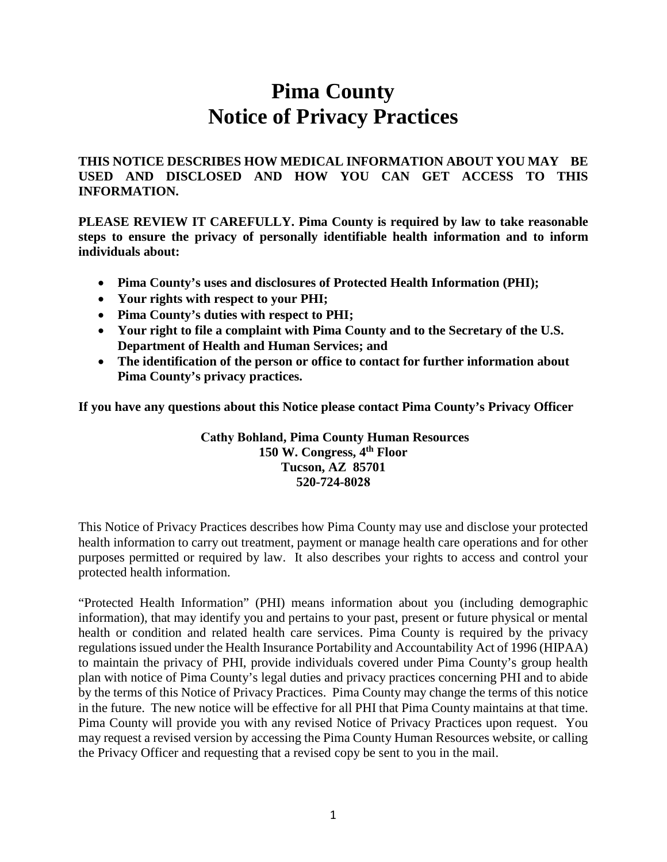# **Pima County Notice of Privacy Practices**

**THIS NOTICE DESCRIBES HOW MEDICAL INFORMATION ABOUT YOU MAY BE USED AND DISCLOSED AND HOW YOU CAN GET ACCESS TO THIS INFORMATION.** 

**PLEASE REVIEW IT CAREFULLY. Pima County is required by law to take reasonable steps to ensure the privacy of personally identifiable health information and to inform individuals about:**

- **Pima County's uses and disclosures of Protected Health Information (PHI);**
- **Your rights with respect to your PHI;**
- **Pima County's duties with respect to PHI;**
- **Your right to file a complaint with Pima County and to the Secretary of the U.S. Department of Health and Human Services; and**
- **The identification of the person or office to contact for further information about Pima County's privacy practices.**

**If you have any questions about this Notice please contact Pima County's Privacy Officer** 

**Cathy Bohland, Pima County Human Resources 150 W. Congress, 4th Floor Tucson, AZ 85701 520-724-8028**

This Notice of Privacy Practices describes how Pima County may use and disclose your protected health information to carry out treatment, payment or manage health care operations and for other purposes permitted or required by law. It also describes your rights to access and control your protected health information.

"Protected Health Information" (PHI) means information about you (including demographic information), that may identify you and pertains to your past, present or future physical or mental health or condition and related health care services. Pima County is required by the privacy regulations issued under the Health Insurance Portability and Accountability Act of 1996 (HIPAA) to maintain the privacy of PHI, provide individuals covered under Pima County's group health plan with notice of Pima County's legal duties and privacy practices concerning PHI and to abide by the terms of this Notice of Privacy Practices. Pima County may change the terms of this notice in the future. The new notice will be effective for all PHI that Pima County maintains at that time. Pima County will provide you with any revised Notice of Privacy Practices upon request. You may request a revised version by accessing the Pima County Human Resources website, or calling the Privacy Officer and requesting that a revised copy be sent to you in the mail.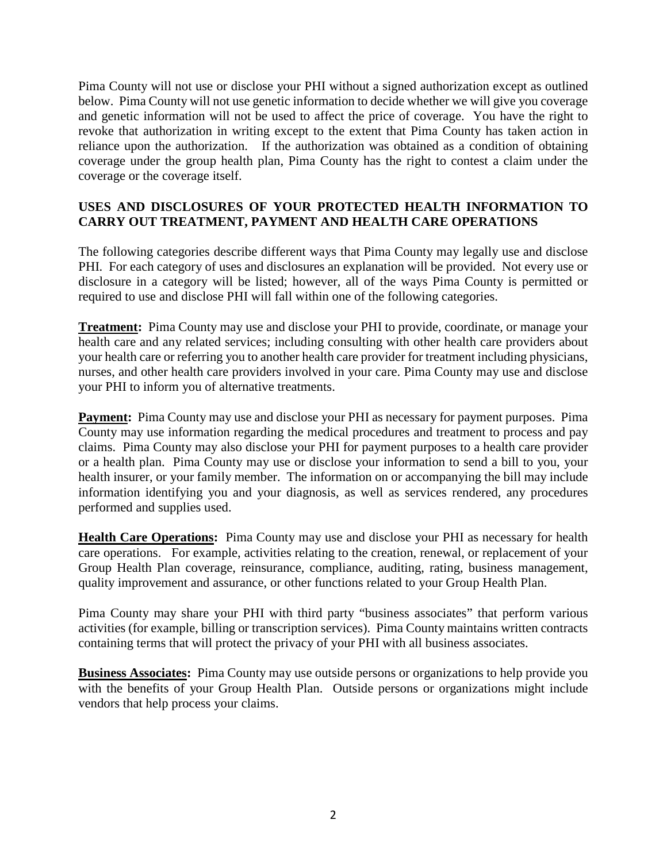Pima County will not use or disclose your PHI without a signed authorization except as outlined below. Pima County will not use genetic information to decide whether we will give you coverage and genetic information will not be used to affect the price of coverage. You have the right to revoke that authorization in writing except to the extent that Pima County has taken action in reliance upon the authorization. If the authorization was obtained as a condition of obtaining coverage under the group health plan, Pima County has the right to contest a claim under the coverage or the coverage itself.

## **USES AND DISCLOSURES OF YOUR PROTECTED HEALTH INFORMATION TO CARRY OUT TREATMENT, PAYMENT AND HEALTH CARE OPERATIONS**

The following categories describe different ways that Pima County may legally use and disclose PHI. For each category of uses and disclosures an explanation will be provided. Not every use or disclosure in a category will be listed; however, all of the ways Pima County is permitted or required to use and disclose PHI will fall within one of the following categories.

**Treatment:** Pima County may use and disclose your PHI to provide, coordinate, or manage your health care and any related services; including consulting with other health care providers about your health care or referring you to another health care provider for treatment including physicians, nurses, and other health care providers involved in your care. Pima County may use and disclose your PHI to inform you of alternative treatments.

**Payment:** Pima County may use and disclose your PHI as necessary for payment purposes. Pima County may use information regarding the medical procedures and treatment to process and pay claims. Pima County may also disclose your PHI for payment purposes to a health care provider or a health plan. Pima County may use or disclose your information to send a bill to you, your health insurer, or your family member. The information on or accompanying the bill may include information identifying you and your diagnosis, as well as services rendered, any procedures performed and supplies used.

**Health Care Operations:** Pima County may use and disclose your PHI as necessary for health care operations. For example, activities relating to the creation, renewal, or replacement of your Group Health Plan coverage, reinsurance, compliance, auditing, rating, business management, quality improvement and assurance, or other functions related to your Group Health Plan.

Pima County may share your PHI with third party "business associates" that perform various activities (for example, billing or transcription services). Pima County maintains written contracts containing terms that will protect the privacy of your PHI with all business associates.

**Business Associates:** Pima County may use outside persons or organizations to help provide you with the benefits of your Group Health Plan. Outside persons or organizations might include vendors that help process your claims.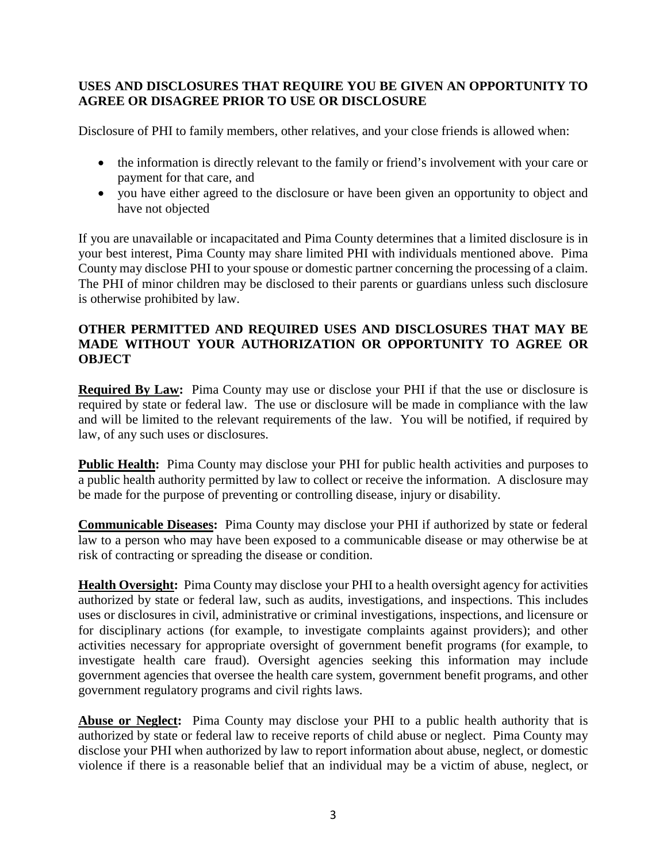## **USES AND DISCLOSURES THAT REQUIRE YOU BE GIVEN AN OPPORTUNITY TO AGREE OR DISAGREE PRIOR TO USE OR DISCLOSURE**

Disclosure of PHI to family members, other relatives, and your close friends is allowed when:

- the information is directly relevant to the family or friend's involvement with your care or payment for that care, and
- you have either agreed to the disclosure or have been given an opportunity to object and have not objected

If you are unavailable or incapacitated and Pima County determines that a limited disclosure is in your best interest, Pima County may share limited PHI with individuals mentioned above. Pima County may disclose PHI to your spouse or domestic partner concerning the processing of a claim. The PHI of minor children may be disclosed to their parents or guardians unless such disclosure is otherwise prohibited by law.

#### **OTHER PERMITTED AND REQUIRED USES AND DISCLOSURES THAT MAY BE MADE WITHOUT YOUR AUTHORIZATION OR OPPORTUNITY TO AGREE OR OBJECT**

**Required By Law:** Pima County may use or disclose your PHI if that the use or disclosure is required by state or federal law. The use or disclosure will be made in compliance with the law and will be limited to the relevant requirements of the law. You will be notified, if required by law, of any such uses or disclosures.

**Public Health:** Pima County may disclose your PHI for public health activities and purposes to a public health authority permitted by law to collect or receive the information. A disclosure may be made for the purpose of preventing or controlling disease, injury or disability.

**Communicable Diseases:** Pima County may disclose your PHI if authorized by state or federal law to a person who may have been exposed to a communicable disease or may otherwise be at risk of contracting or spreading the disease or condition.

**Health Oversight:** Pima County may disclose your PHI to a health oversight agency for activities authorized by state or federal law, such as audits, investigations, and inspections. This includes uses or disclosures in civil, administrative or criminal investigations, inspections, and licensure or for disciplinary actions (for example, to investigate complaints against providers); and other activities necessary for appropriate oversight of government benefit programs (for example, to investigate health care fraud). Oversight agencies seeking this information may include government agencies that oversee the health care system, government benefit programs, and other government regulatory programs and civil rights laws.

**Abuse or Neglect:** Pima County may disclose your PHI to a public health authority that is authorized by state or federal law to receive reports of child abuse or neglect. Pima County may disclose your PHI when authorized by law to report information about abuse, neglect, or domestic violence if there is a reasonable belief that an individual may be a victim of abuse, neglect, or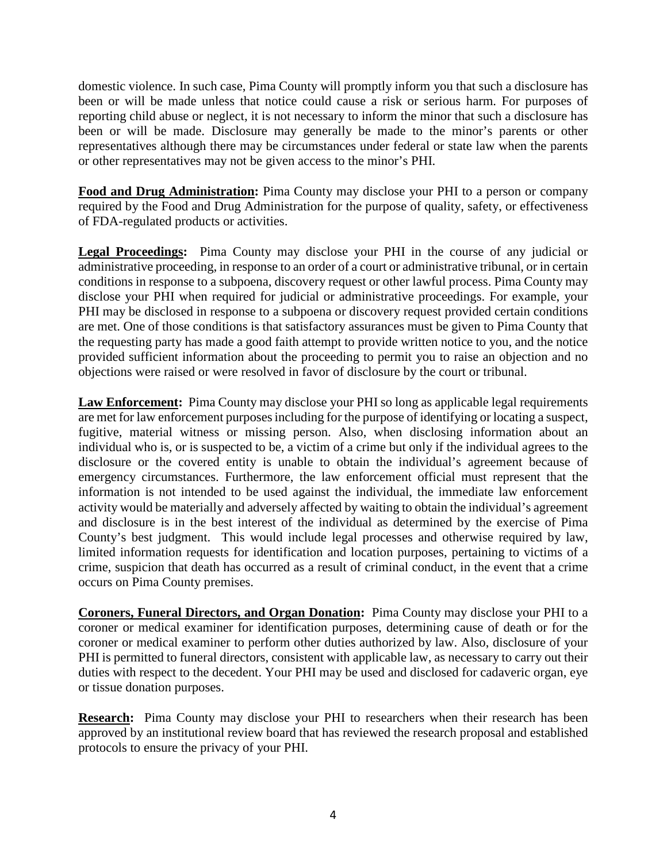domestic violence. In such case, Pima County will promptly inform you that such a disclosure has been or will be made unless that notice could cause a risk or serious harm. For purposes of reporting child abuse or neglect, it is not necessary to inform the minor that such a disclosure has been or will be made. Disclosure may generally be made to the minor's parents or other representatives although there may be circumstances under federal or state law when the parents or other representatives may not be given access to the minor's PHI.

**Food and Drug Administration:** Pima County may disclose your PHI to a person or company required by the Food and Drug Administration for the purpose of quality, safety, or effectiveness of FDA-regulated products or activities.

**Legal Proceedings:** Pima County may disclose your PHI in the course of any judicial or administrative proceeding, in response to an order of a court or administrative tribunal, or in certain conditions in response to a subpoena, discovery request or other lawful process. Pima County may disclose your PHI when required for judicial or administrative proceedings. For example, your PHI may be disclosed in response to a subpoena or discovery request provided certain conditions are met. One of those conditions is that satisfactory assurances must be given to Pima County that the requesting party has made a good faith attempt to provide written notice to you, and the notice provided sufficient information about the proceeding to permit you to raise an objection and no objections were raised or were resolved in favor of disclosure by the court or tribunal.

Law Enforcement: Pima County may disclose your PHI so long as applicable legal requirements are met for law enforcement purposesincluding for the purpose of identifying or locating a suspect, fugitive, material witness or missing person. Also, when disclosing information about an individual who is, or is suspected to be, a victim of a crime but only if the individual agrees to the disclosure or the covered entity is unable to obtain the individual's agreement because of emergency circumstances. Furthermore, the law enforcement official must represent that the information is not intended to be used against the individual, the immediate law enforcement activity would be materially and adversely affected by waiting to obtain the individual's agreement and disclosure is in the best interest of the individual as determined by the exercise of Pima County's best judgment. This would include legal processes and otherwise required by law, limited information requests for identification and location purposes, pertaining to victims of a crime, suspicion that death has occurred as a result of criminal conduct, in the event that a crime occurs on Pima County premises.

**Coroners, Funeral Directors, and Organ Donation:** Pima County may disclose your PHI to a coroner or medical examiner for identification purposes, determining cause of death or for the coroner or medical examiner to perform other duties authorized by law. Also, disclosure of your PHI is permitted to funeral directors, consistent with applicable law, as necessary to carry out their duties with respect to the decedent. Your PHI may be used and disclosed for cadaveric organ, eye or tissue donation purposes.

**Research:** Pima County may disclose your PHI to researchers when their research has been approved by an institutional review board that has reviewed the research proposal and established protocols to ensure the privacy of your PHI.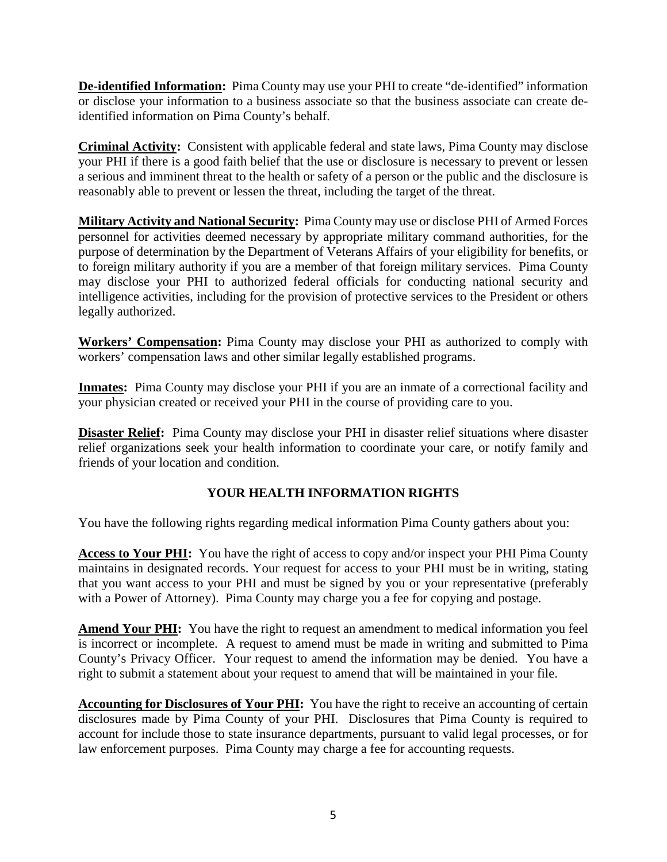**De-identified Information:** Pima County may use your PHI to create "de-identified" information or disclose your information to a business associate so that the business associate can create deidentified information on Pima County's behalf.

**Criminal Activity:** Consistent with applicable federal and state laws, Pima County may disclose your PHI if there is a good faith belief that the use or disclosure is necessary to prevent or lessen a serious and imminent threat to the health or safety of a person or the public and the disclosure is reasonably able to prevent or lessen the threat, including the target of the threat.

**Military Activity and National Security:** Pima County may use or disclose PHI of Armed Forces personnel for activities deemed necessary by appropriate military command authorities, for the purpose of determination by the Department of Veterans Affairs of your eligibility for benefits, or to foreign military authority if you are a member of that foreign military services. Pima County may disclose your PHI to authorized federal officials for conducting national security and intelligence activities, including for the provision of protective services to the President or others legally authorized.

**Workers' Compensation:** Pima County may disclose your PHI as authorized to comply with workers' compensation laws and other similar legally established programs.

**Inmates:** Pima County may disclose your PHI if you are an inmate of a correctional facility and your physician created or received your PHI in the course of providing care to you.

**Disaster Relief:** Pima County may disclose your PHI in disaster relief situations where disaster relief organizations seek your health information to coordinate your care, or notify family and friends of your location and condition.

# **YOUR HEALTH INFORMATION RIGHTS**

You have the following rights regarding medical information Pima County gathers about you:

**Access to Your PHI:** You have the right of access to copy and/or inspect your PHI Pima County maintains in designated records. Your request for access to your PHI must be in writing, stating that you want access to your PHI and must be signed by you or your representative (preferably with a Power of Attorney). Pima County may charge you a fee for copying and postage.

**Amend Your PHI:** You have the right to request an amendment to medical information you feel is incorrect or incomplete. A request to amend must be made in writing and submitted to Pima County's Privacy Officer. Your request to amend the information may be denied. You have a right to submit a statement about your request to amend that will be maintained in your file.

**Accounting for Disclosures of Your PHI:** You have the right to receive an accounting of certain disclosures made by Pima County of your PHI. Disclosures that Pima County is required to account for include those to state insurance departments, pursuant to valid legal processes, or for law enforcement purposes. Pima County may charge a fee for accounting requests.